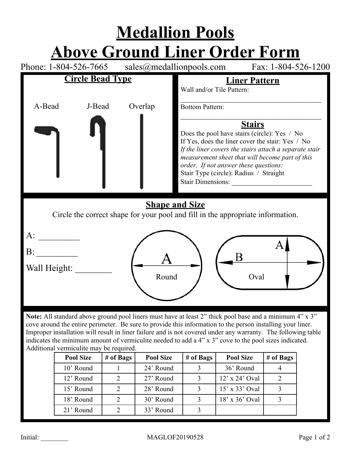

|  | 10' Round |  | 24' Round |  | 36' Round        |  |
|--|-----------|--|-----------|--|------------------|--|
|  | 12' Round |  | 27' Round |  | $12'$ x 24' Oval |  |
|  | 15' Round |  | 28' Round |  | $15'$ x 33' Oval |  |
|  | 18' Round |  | 30' Round |  | $18'$ x 36' Oval |  |
|  | 21' Round |  | 33' Round |  |                  |  |
|  |           |  |           |  |                  |  |